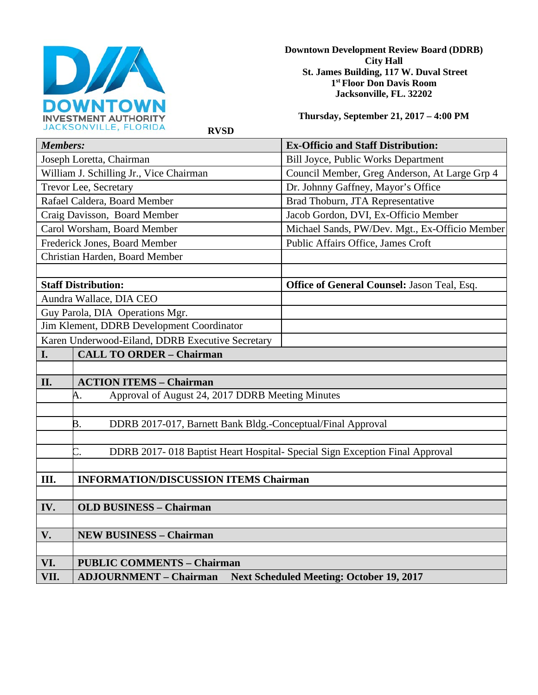

**Downtown Development Review Board (DDRB) City Hall St. James Building, 117 W. Duval Street 1st Floor Don Davis Room Jacksonville, FL. 32202** 

**Thursday, September 21, 2017 – 4:00 PM**

 **RVSD** 

| <b>Members:</b>                                  |                                                                                  | <b>Ex-Officio and Staff Distribution:</b>      |  |
|--------------------------------------------------|----------------------------------------------------------------------------------|------------------------------------------------|--|
| Joseph Loretta, Chairman                         |                                                                                  | Bill Joyce, Public Works Department            |  |
| William J. Schilling Jr., Vice Chairman          |                                                                                  | Council Member, Greg Anderson, At Large Grp 4  |  |
| Trevor Lee, Secretary                            |                                                                                  | Dr. Johnny Gaffney, Mayor's Office             |  |
| Rafael Caldera, Board Member                     |                                                                                  | Brad Thoburn, JTA Representative               |  |
| Craig Davisson, Board Member                     |                                                                                  | Jacob Gordon, DVI, Ex-Officio Member           |  |
| Carol Worsham, Board Member                      |                                                                                  | Michael Sands, PW/Dev. Mgt., Ex-Officio Member |  |
| Frederick Jones, Board Member                    |                                                                                  | Public Affairs Office, James Croft             |  |
| Christian Harden, Board Member                   |                                                                                  |                                                |  |
|                                                  |                                                                                  |                                                |  |
| <b>Staff Distribution:</b>                       |                                                                                  | Office of General Counsel: Jason Teal, Esq.    |  |
| Aundra Wallace, DIA CEO                          |                                                                                  |                                                |  |
| Guy Parola, DIA Operations Mgr.                  |                                                                                  |                                                |  |
| Jim Klement, DDRB Development Coordinator        |                                                                                  |                                                |  |
| Karen Underwood-Eiland, DDRB Executive Secretary |                                                                                  |                                                |  |
| I.                                               | <b>CALL TO ORDER - Chairman</b>                                                  |                                                |  |
|                                                  |                                                                                  |                                                |  |
| II.                                              | <b>ACTION ITEMS - Chairman</b>                                                   |                                                |  |
| Ą.                                               | Approval of August 24, 2017 DDRB Meeting Minutes                                 |                                                |  |
|                                                  |                                                                                  |                                                |  |
| B.                                               | DDRB 2017-017, Barnett Bank Bldg.-Conceptual/Final Approval                      |                                                |  |
|                                                  |                                                                                  |                                                |  |
| C.                                               | DDRB 2017-018 Baptist Heart Hospital- Special Sign Exception Final Approval      |                                                |  |
|                                                  |                                                                                  |                                                |  |
| Ш.                                               | <b>INFORMATION/DISCUSSION ITEMS Chairman</b>                                     |                                                |  |
|                                                  |                                                                                  |                                                |  |
| IV.                                              | <b>OLD BUSINESS - Chairman</b>                                                   |                                                |  |
|                                                  |                                                                                  |                                                |  |
| V.                                               | <b>NEW BUSINESS - Chairman</b>                                                   |                                                |  |
|                                                  |                                                                                  |                                                |  |
| VI.                                              | <b>PUBLIC COMMENTS - Chairman</b>                                                |                                                |  |
| VII.                                             | <b>Next Scheduled Meeting: October 19, 2017</b><br><b>ADJOURNMENT - Chairman</b> |                                                |  |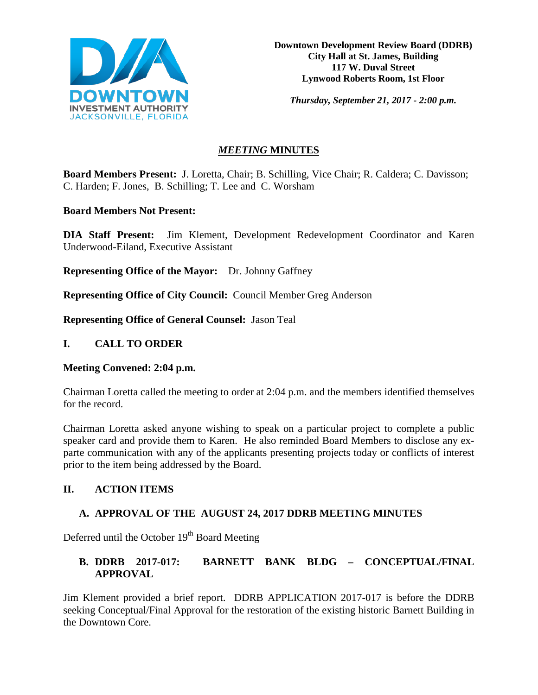

**Downtown Development Review Board (DDRB) City Hall at St. James, Building 117 W. Duval Street Lynwood Roberts Room, 1st Floor**

*Thursday, September 21, 2017 - 2:00 p.m.*

# *MEETING* **MINUTES**

**Board Members Present:** J. Loretta, Chair; B. Schilling, Vice Chair; R. Caldera; C. Davisson; C. Harden; F. Jones, B. Schilling; T. Lee and C. Worsham

### **Board Members Not Present:**

**DIA Staff Present:** Jim Klement, Development Redevelopment Coordinator and Karen Underwood-Eiland, Executive Assistant

**Representing Office of the Mayor:** Dr. Johnny Gaffney

**Representing Office of City Council:** Council Member Greg Anderson

**Representing Office of General Counsel:** Jason Teal

## **I. CALL TO ORDER**

#### **Meeting Convened: 2:04 p.m.**

Chairman Loretta called the meeting to order at 2:04 p.m. and the members identified themselves for the record.

Chairman Loretta asked anyone wishing to speak on a particular project to complete a public speaker card and provide them to Karen. He also reminded Board Members to disclose any exparte communication with any of the applicants presenting projects today or conflicts of interest prior to the item being addressed by the Board.

## **II. ACTION ITEMS**

## **A. APPROVAL OF THE AUGUST 24, 2017 DDRB MEETING MINUTES**

Deferred until the October  $19<sup>th</sup>$  Board Meeting

# **B. DDRB 2017-017: BARNETT BANK BLDG – CONCEPTUAL/FINAL APPROVAL**

Jim Klement provided a brief report. DDRB APPLICATION 2017-017 is before the DDRB seeking Conceptual/Final Approval for the restoration of the existing historic Barnett Building in the Downtown Core.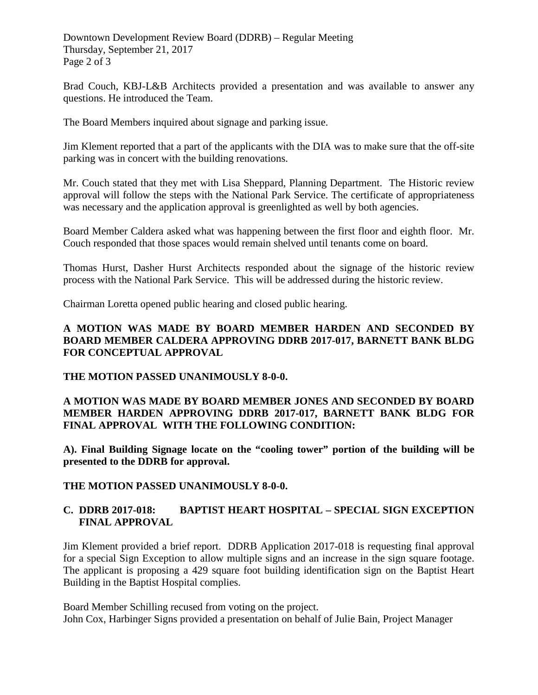Downtown Development Review Board (DDRB) – Regular Meeting Thursday, September 21, 2017 Page 2 of 3

Brad Couch, KBJ-L&B Architects provided a presentation and was available to answer any questions. He introduced the Team.

The Board Members inquired about signage and parking issue.

Jim Klement reported that a part of the applicants with the DIA was to make sure that the off-site parking was in concert with the building renovations.

Mr. Couch stated that they met with Lisa Sheppard, Planning Department. The Historic review approval will follow the steps with the National Park Service. The certificate of appropriateness was necessary and the application approval is greenlighted as well by both agencies.

Board Member Caldera asked what was happening between the first floor and eighth floor. Mr. Couch responded that those spaces would remain shelved until tenants come on board.

Thomas Hurst, Dasher Hurst Architects responded about the signage of the historic review process with the National Park Service. This will be addressed during the historic review.

Chairman Loretta opened public hearing and closed public hearing.

## **A MOTION WAS MADE BY BOARD MEMBER HARDEN AND SECONDED BY BOARD MEMBER CALDERA APPROVING DDRB 2017-017, BARNETT BANK BLDG FOR CONCEPTUAL APPROVAL**

#### **THE MOTION PASSED UNANIMOUSLY 8-0-0.**

## **A MOTION WAS MADE BY BOARD MEMBER JONES AND SECONDED BY BOARD MEMBER HARDEN APPROVING DDRB 2017-017, BARNETT BANK BLDG FOR FINAL APPROVAL WITH THE FOLLOWING CONDITION:**

**A). Final Building Signage locate on the "cooling tower" portion of the building will be presented to the DDRB for approval.** 

#### **THE MOTION PASSED UNANIMOUSLY 8-0-0.**

## **C. DDRB 2017-018: BAPTIST HEART HOSPITAL – SPECIAL SIGN EXCEPTION FINAL APPROVAL**

Jim Klement provided a brief report. DDRB Application 2017-018 is requesting final approval for a special Sign Exception to allow multiple signs and an increase in the sign square footage. The applicant is proposing a 429 square foot building identification sign on the Baptist Heart Building in the Baptist Hospital complies.

Board Member Schilling recused from voting on the project. John Cox, Harbinger Signs provided a presentation on behalf of Julie Bain, Project Manager